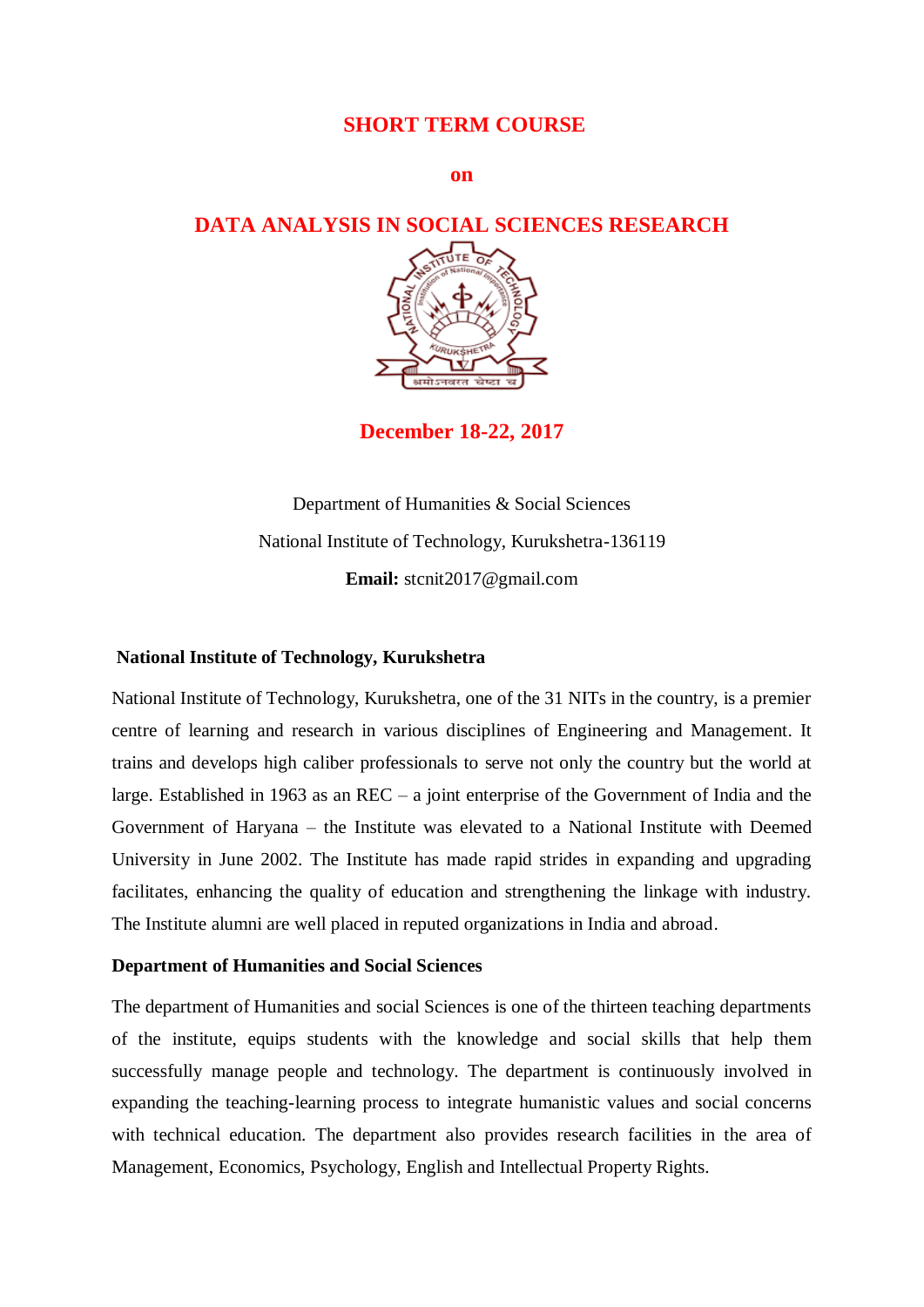## **SHORT TERM COURSE**

**on**

## **DATA ANALYSIS IN SOCIAL SCIENCES RESEARCH**



**December 18-22, 2017**

Department of Humanities & Social Sciences National Institute of Technology, Kurukshetra-136119 **Email:** stcnit2017@gmail.com

#### **National Institute of Technology, Kurukshetra**

National Institute of Technology, Kurukshetra, one of the 31 NITs in the country, is a premier centre of learning and research in various disciplines of Engineering and Management. It trains and develops high caliber professionals to serve not only the country but the world at large. Established in 1963 as an REC – a joint enterprise of the Government of India and the Government of Haryana – the Institute was elevated to a National Institute with Deemed University in June 2002. The Institute has made rapid strides in expanding and upgrading facilitates, enhancing the quality of education and strengthening the linkage with industry. The Institute alumni are well placed in reputed organizations in India and abroad.

#### **Department of Humanities and Social Sciences**

The department of Humanities and social Sciences is one of the thirteen teaching departments of the institute, equips students with the knowledge and social skills that help them successfully manage people and technology. The department is continuously involved in expanding the teaching-learning process to integrate humanistic values and social concerns with technical education. The department also provides research facilities in the area of Management, Economics, Psychology, English and Intellectual Property Rights.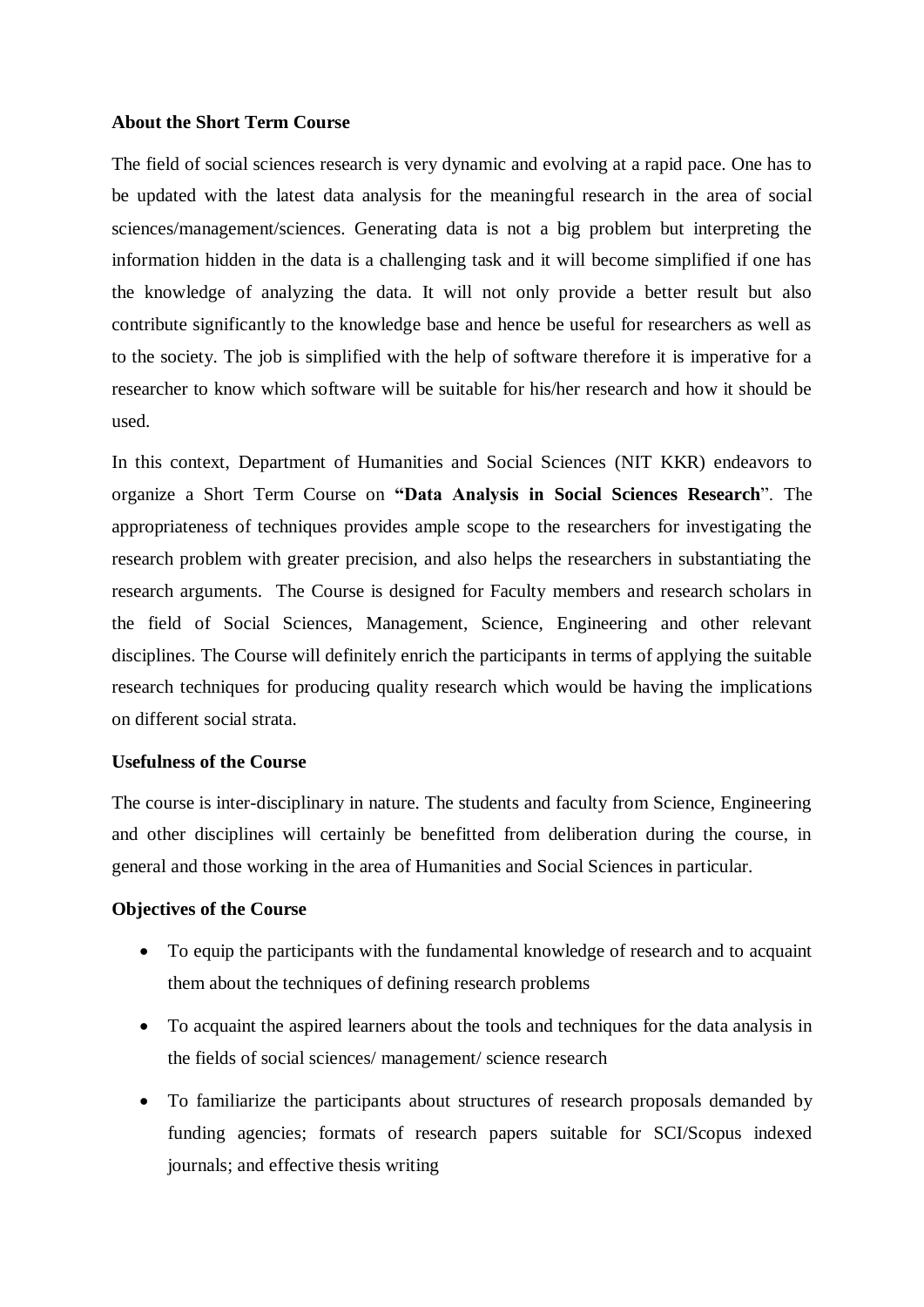#### **About the Short Term Course**

The field of social sciences research is very dynamic and evolving at a rapid pace. One has to be updated with the latest data analysis for the meaningful research in the area of social sciences/management/sciences. Generating data is not a big problem but interpreting the information hidden in the data is a challenging task and it will become simplified if one has the knowledge of analyzing the data. It will not only provide a better result but also contribute significantly to the knowledge base and hence be useful for researchers as well as to the society. The job is simplified with the help of software therefore it is imperative for a researcher to know which software will be suitable for his/her research and how it should be used.

In this context, Department of Humanities and Social Sciences (NIT KKR) endeavors to organize a Short Term Course on **"Data Analysis in Social Sciences Research**". The appropriateness of techniques provides ample scope to the researchers for investigating the research problem with greater precision, and also helps the researchers in substantiating the research arguments. The Course is designed for Faculty members and research scholars in the field of Social Sciences, Management, Science, Engineering and other relevant disciplines. The Course will definitely enrich the participants in terms of applying the suitable research techniques for producing quality research which would be having the implications on different social strata.

#### **Usefulness of the Course**

The course is inter-disciplinary in nature. The students and faculty from Science, Engineering and other disciplines will certainly be benefitted from deliberation during the course, in general and those working in the area of Humanities and Social Sciences in particular.

#### **Objectives of the Course**

- To equip the participants with the fundamental knowledge of research and to acquaint them about the techniques of defining research problems
- To acquaint the aspired learners about the tools and techniques for the data analysis in the fields of social sciences/ management/ science research
- To familiarize the participants about structures of research proposals demanded by funding agencies; formats of research papers suitable for SCI/Scopus indexed journals; and effective thesis writing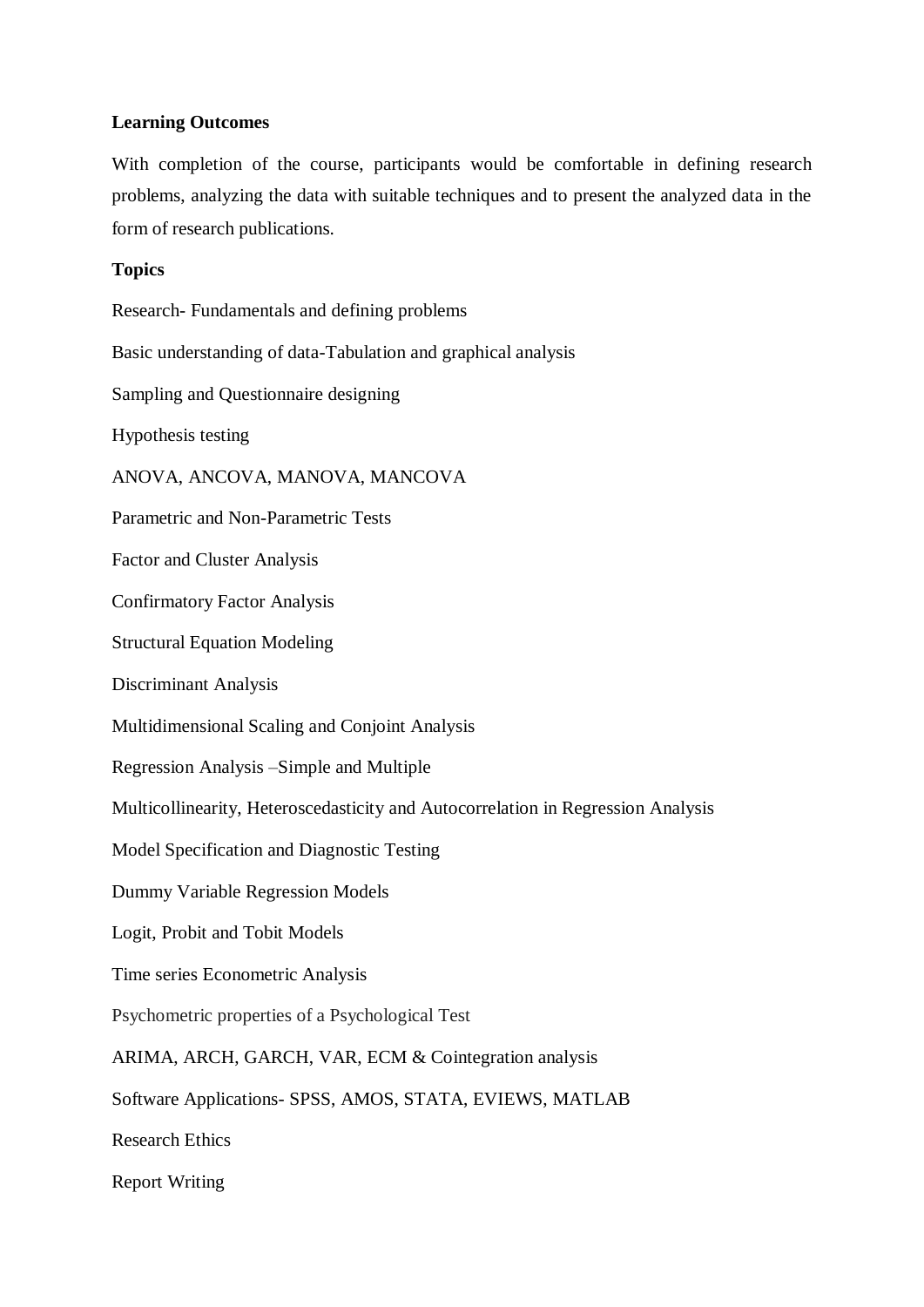#### **Learning Outcomes**

With completion of the course, participants would be comfortable in defining research problems, analyzing the data with suitable techniques and to present the analyzed data in the form of research publications.

#### **Topics**

Research- Fundamentals and defining problems Basic understanding of data-Tabulation and graphical analysis Sampling and Questionnaire designing Hypothesis testing ANOVA, ANCOVA, MANOVA, MANCOVA Parametric and Non-Parametric Tests Factor and Cluster Analysis Confirmatory Factor Analysis Structural Equation Modeling Discriminant Analysis Multidimensional Scaling and Conjoint Analysis Regression Analysis –Simple and Multiple Multicollinearity, Heteroscedasticity and Autocorrelation in Regression Analysis Model Specification and Diagnostic Testing Dummy Variable Regression Models Logit, Probit and Tobit Models Time series Econometric Analysis Psychometric properties of a Psychological Test ARIMA, ARCH, GARCH, VAR, ECM & Cointegration analysis Software Applications- SPSS, AMOS, STATA, EVIEWS, MATLAB Research Ethics Report Writing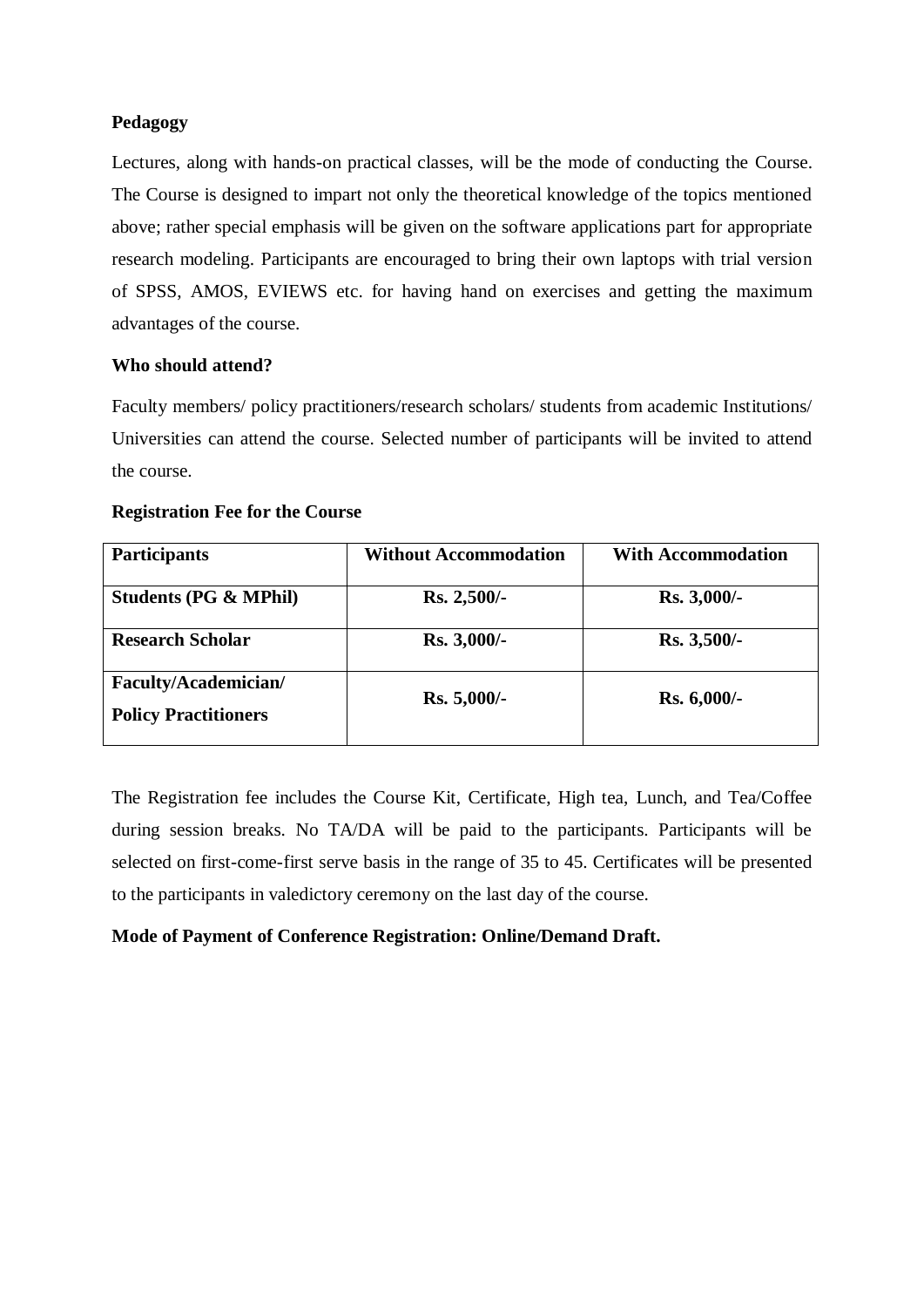## **Pedagogy**

Lectures, along with hands-on practical classes, will be the mode of conducting the Course. The Course is designed to impart not only the theoretical knowledge of the topics mentioned above; rather special emphasis will be given on the software applications part for appropriate research modeling. Participants are encouraged to bring their own laptops with trial version of SPSS, AMOS, EVIEWS etc. for having hand on exercises and getting the maximum advantages of the course.

#### **Who should attend?**

Faculty members/ policy practitioners/research scholars/ students from academic Institutions/ Universities can attend the course. Selected number of participants will be invited to attend the course.

## **Registration Fee for the Course**

| <b>Participants</b>                                 | <b>Without Accommodation</b> | <b>With Accommodation</b> |
|-----------------------------------------------------|------------------------------|---------------------------|
| <b>Students (PG &amp; MPhil)</b>                    | $Rs. 2,500/$ -               | <b>Rs. 3,000/-</b>        |
| <b>Research Scholar</b>                             | <b>Rs.</b> 3,000/-           | Rs. 3,500/-               |
| Faculty/Academician/<br><b>Policy Practitioners</b> | $Rs. 5,000/-$                | <b>Rs. 6,000/-</b>        |

The Registration fee includes the Course Kit, Certificate, High tea, Lunch, and Tea/Coffee during session breaks. No TA/DA will be paid to the participants. Participants will be selected on first-come-first serve basis in the range of 35 to 45. Certificates will be presented to the participants in valedictory ceremony on the last day of the course.

## **Mode of Payment of Conference Registration: Online/Demand Draft.**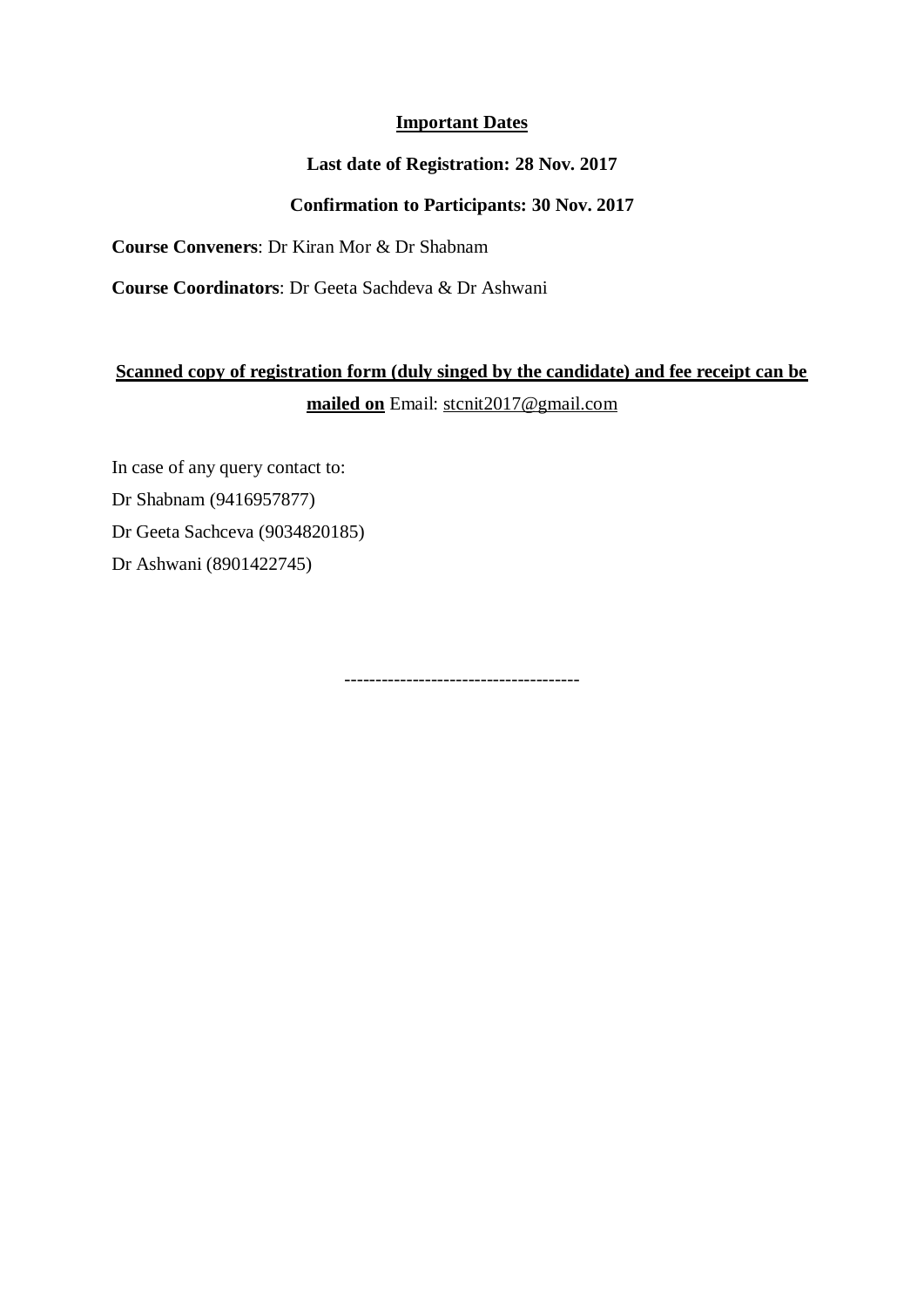## **Important Dates**

## **Last date of Registration: 28 Nov. 2017**

## **Confirmation to Participants: 30 Nov. 2017**

**Course Conveners**: Dr Kiran Mor & Dr Shabnam

**Course Coordinators**: Dr Geeta Sachdeva & Dr Ashwani

# **Scanned copy of registration form (duly singed by the candidate) and fee receipt can be mailed on** Email: [stcnit2017@gmail.com](mailto:stcnit2017@gmail.com)

In case of any query contact to: Dr Shabnam (9416957877) Dr Geeta Sachceva (9034820185) Dr Ashwani (8901422745)

--------------------------------------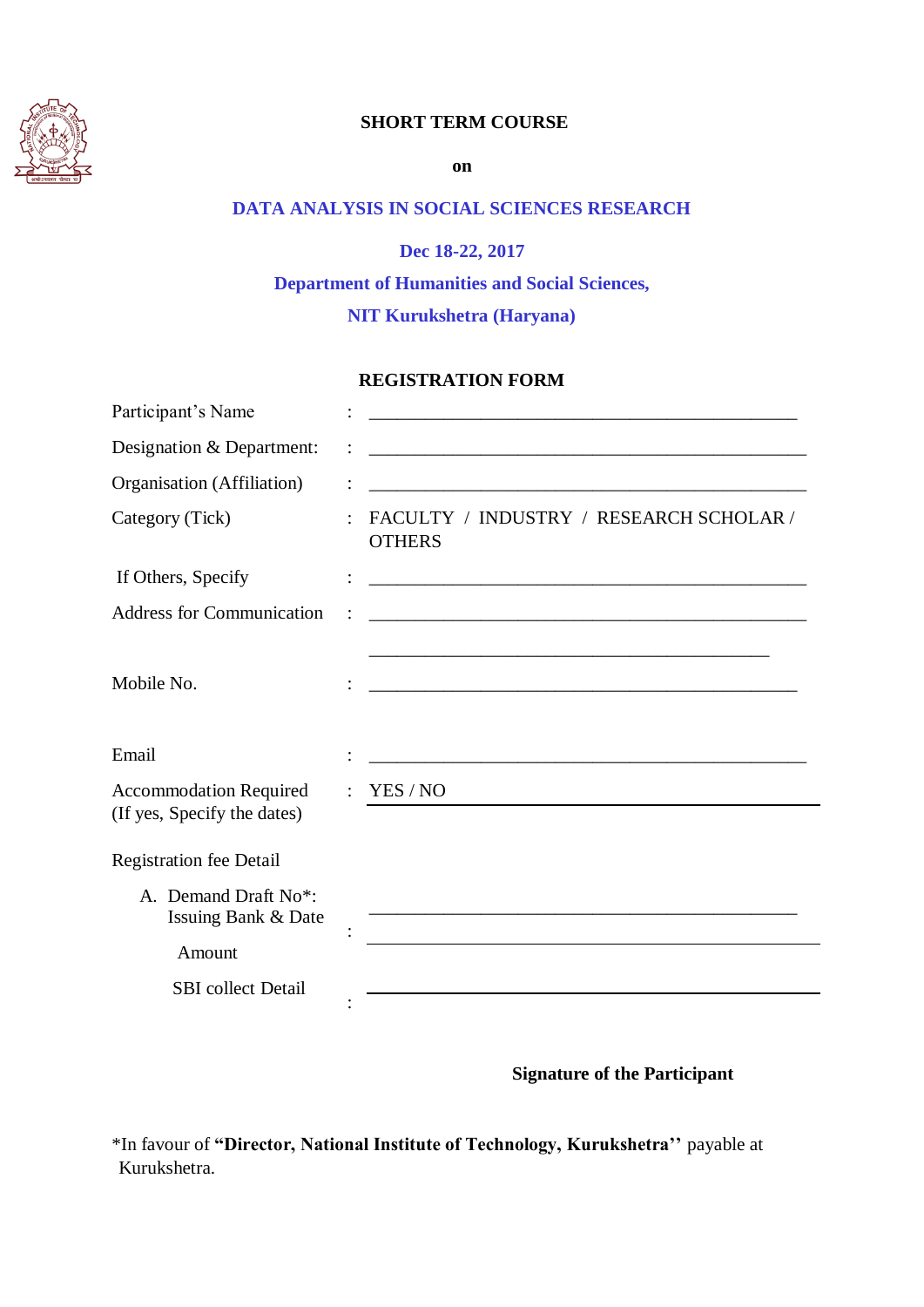

## **SHORT TERM COURSE**

**on**

## **DATA ANALYSIS IN SOCIAL SCIENCES RESEARCH**

**Dec 18-22, 2017 Department of Humanities and Social Sciences, NIT Kurukshetra (Haryana)**

#### **REGISTRATION FORM**

| Participant's Name                                           |                                                                                                                      |
|--------------------------------------------------------------|----------------------------------------------------------------------------------------------------------------------|
| Designation & Department:                                    | <u> 1989 - Johann Barbara, margaret eta biztanleria (h. 1989).</u>                                                   |
| Organisation (Affiliation)                                   | <u> 1989 - Johann Stoff, amerikansk politiker (d. 1989)</u>                                                          |
| Category (Tick)                                              | FACULTY / INDUSTRY / RESEARCH SCHOLAR /<br><b>OTHERS</b>                                                             |
| If Others, Specify                                           | <u> 1989 - Johann Barbara, martxa alemaniar arg</u>                                                                  |
| <b>Address for Communication</b>                             | <u> 1980 - Johann Stein, mars an deutscher Stein und der Stein und der Stein und der Stein und der Stein und der</u> |
| Mobile No.                                                   | <u> 1989 - Johann Barbara, martxa al III-lea (h. 1989).</u>                                                          |
| Email                                                        |                                                                                                                      |
| <b>Accommodation Required</b><br>(If yes, Specify the dates) | YES / NO                                                                                                             |
| <b>Registration fee Detail</b>                               |                                                                                                                      |
| A. Demand Draft No*:<br>Issuing Bank & Date                  |                                                                                                                      |
| Amount                                                       |                                                                                                                      |
| <b>SBI</b> collect Detail                                    |                                                                                                                      |
|                                                              |                                                                                                                      |

## **Signature of the Participant**

\*In favour of **"Director, National Institute of Technology, Kurukshetra''** payable at Kurukshetra.